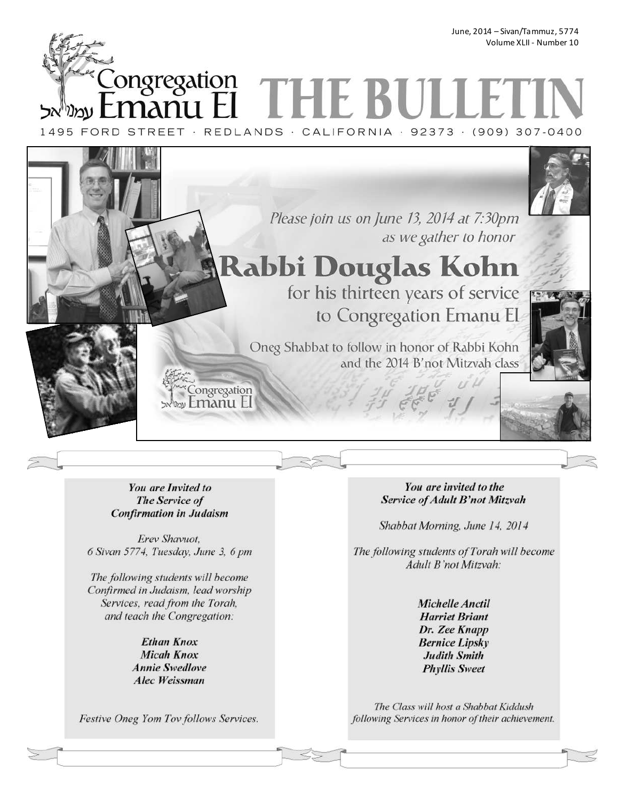June, 2014 – Sivan/Tammuz, 5774 Volume XLII - Number 10

Congregation<br>Emanu El THE BULL



You are Invited to The Service of **Confirmation in Judaism** 

Erev Shavuot. 6 Sivan 5774, Tuesday, June 3, 6 pm

The following students will become Confirmed in Judaism, lead worship Services, read from the Torah, and teach the Congregation:

> **Ethan Knox Micah Knox Annie Swedlove Alec Weissman**

Festive Oneg Yom Tov follows Services.

## You are invited to the Service of Adult B'not Mitzvah

Shabbat Morning, June 14, 2014

The following students of Torah will become Adult B'not Mitzvah:

> Michelle Anctil **Harriet Briant** Dr. Zee Knapp **Bernice Lipsky** Judith Smith **Phyllis Sweet**

The Class will host a Shabbat Kiddush following Services in honor of their achievement.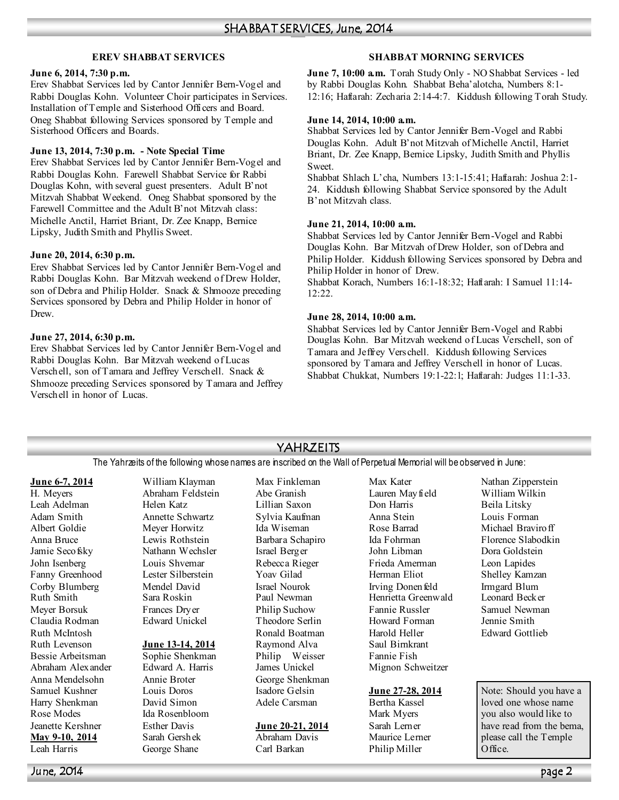#### **EREV SHABBAT SERVICES**

#### **June 6, 2014, 7:30 p.m.**

Erev Shabbat Services led by Cantor Jennifer Bern-Vogel and Rabbi Douglas Kohn. Volunteer Choir participates in Services. Installation of Temple and Sisterhood Officers and Board. Oneg Shabbat following Services sponsored by Temple and Sisterhood Officers and Boards.

#### **June 13, 2014, 7:30 p.m. - Note Special Time**

Erev Shabbat Services led by Cantor Jennifer Bern-Vogel and Rabbi Douglas Kohn. Farewell Shabbat Service for Rabbi Douglas Kohn, with several guest presenters. Adult B'not Mitzvah Shabbat Weekend. Oneg Shabbat sponsored by the Farewell Committee and the Adult B'not Mitzvah class: Michelle Anctil, Harriet Briant, Dr. Zee Knapp, Bernice Lipsky, Judith Smith and Phyllis Sweet.

#### **June 20, 2014, 6:30 p.m.**

Erev Shabbat Services led by Cantor Jennifer Bern-Vogel and Rabbi Douglas Kohn. Bar Mitzvah weekend of Drew Holder, son of Debra and Philip Holder. Snack & Shmooze preceding Services sponsored by Debra and Philip Holder in honor of Drew.

#### **June 27, 2014, 6:30 p.m.**

Erev Shabbat Services led by Cantor Jennifer Bern-Vogel and Rabbi Douglas Kohn. Bar Mitzvah weekend of Lucas Verschell, son of Tamara and Jeffrey Verschell. Snack & Shmooze preceding Services sponsored by Tamara and Jeffrey Verschell in honor of Lucas.

#### **SHABBAT MORNING SERVICES**

**June 7, 10:00 a.m.** Torah Study Only - NO Shabbat Services - led by Rabbi Douglas Kohn. Shabbat Beha'alotcha, Numbers 8:1- 12:16; Haftarah: Zecharia 2:14-4:7. Kiddush following Torah Study.

#### **June 14, 2014, 10:00 a.m.**

Shabbat Services led by Cantor Jennifer Bern-Vogel and Rabbi Douglas Kohn. Adult B'not Mitzvah of Michelle Anctil, Harriet Briant, Dr. Zee Knapp, Bernice Lipsky, Judith Smith and Phyllis **Sweet**.

Shabbat Shlach L'cha, Numbers 13:1-15:41; Haftarah: Joshua 2:1- 24. Kiddush following Shabbat Service sponsored by the Adult B'not Mitzvah class.

#### **June 21, 2014, 10:00 a.m.**

Shabbat Services led by Cantor Jennifer Bern-Vogel and Rabbi Douglas Kohn. Bar Mitzvah of Drew Holder, son of Debra and Philip Holder. Kiddush following Services sponsored by Debra and Philip Holder in honor of Drew.

Shabbat Korach, Numbers 16:1-18:32; Haftarah: I Samuel 11:14- 12:22.

#### **June 28, 2014, 10:00 a.m.**

Shabbat Services led by Cantor Jennifer Bern-Vogel and Rabbi Douglas Kohn. Bar Mitzvah weekend of Lucas Verschell, son of Tamara and Jeffrey Verschell. Kiddush following Services sponsored by Tamara and Jeffrey Verschell in honor of Lucas. Shabbat Chukkat, Numbers 19:1-22:1; Haftarah: Judges 11:1-33.

## **YAHRZEITS**

The Yahrzeits of the following whose names are inscribed on the Wall of Perpetual Memorial will be observed in June:

#### **June 6-7, 2014**

H. Meyers Leah Adelman Adam Smith Albert Goldie Anna Bruce Jamie Secofsky John Isenberg Fanny Greenhood Corby Blumberg Ruth Smith Meyer Borsuk Claudia Rodman Ruth McIntosh Ruth Levenson Bessie Arbeitsman Abraham Alexander Anna Mendelsohn Samuel Kushner Harry Shenkman Rose Modes Jeanette Kershner **May 9-10, 2014** Leah Harris

William Klayman Abraham Feldstein Helen Katz Annette Schwartz Meyer Horwitz Lewis Rothstein Nathann Wechsler Louis Shvemar Lester Silberstein Mendel David Sara Roskin Frances Dryer Edward Unickel

#### **June 13-14, 2014**

Sophie Shenkman Edward A. Harris Annie Broter Louis Doros David Simon Ida Rosenbloom Esther Davis Sarah Gershek George Shane

Max Finkleman Abe Granish Lillian Saxon Sylvia Kaufman Ida Wiseman Barbara Schapiro Israel Berger Rebecca Rieger Yoav Gilad Israel Nourok Paul Newman Philip Suchow Theodore Serlin Ronald Boatman Raymond Alva Philip Weisser James Unickel George Shenkman Isadore Gelsin Adele Carsman

#### **June 20-21, 2014**

Abraham Davis Carl Barkan

Max Kater Lauren Mayfield Don Harris Anna Stein Rose Barrad Ida Fohrman John Libman Frieda Amerman Herman Eliot Irving Donenfeld Henrietta Greenwald Fannie Russler Howard Forman Harold Heller Saul Birnkrant Fannie Fish Mignon Schweitzer

#### **June 27-28, 2014**

Bertha Kassel Mark Myers Sarah Lerner Maurice Lerner Philip Miller

Nathan Zipperstein William Wilkin Beila Litsky Louis Forman Michael Braviroff Florence Slabodkin Dora Goldstein Leon Lapides Shelley Kamzan Irmgard Blum Leonard Becker Samuel Newman Jennie Smith Edward Gottlieb

Note: Should you have a loved one whose name you also would like to have read from the bema, please call the Temple Office.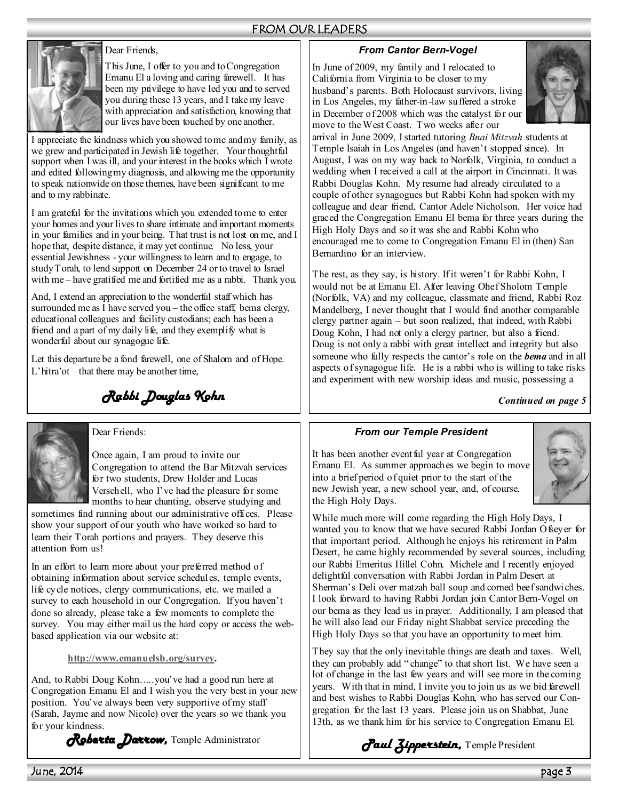## FROM OUR LEADERS



### Dear Friends,

This June, I offer to you and to Congregation Emanu El a loving and caring farewell. It has been my privilege to have led you and to served you during these 13 years, and I take my leave with appreciation and satisfaction, knowing that our lives have been touched by one another.

I appreciate the kindness which you showed to me and my family, as we grew and participated in Jewish life together. Your thoughtful support when I was ill, and your interest in the books which I wrote and edited following my diagnosis, and allowing me the opportunity to speak nationwide on those themes, have been significant to me and to my rabbinate.

I am grateful for the invitations which you extended to me to enter your homes and your lives to share intimate and important moments in your families and in your being. That trust is not lost on me, and I hope that, despite distance, it may yet continue. No less, your essential Jewishness - your willingness to learn and to engage, to study Torah, to lend support on December 24 or to travel to Israel with me – have gratified me and fortified me as a rabbi. Thank you.

And, I extend an appreciation to the wonderful staff which has surrounded me as I have served you – the office staff, bema clergy, educational colleagues and facility custodians; each has been a friend and a part of my daily life, and they exemplify what is wonderful about our synagogue life.

Let this departure be a fond farewell, one of Shalom and of Hope. L'hitra'ot – that there may be another time,

*Rabbi Douglas Kohn Rabbi Douglas Kohn* 



Dear Friends:

Once again, I am proud to invite our Congregation to attend the Bar Mitzvah services for two students, Drew Holder and Lucas Verschell, who I've had the pleasure for some months to hear chanting, observe studying and

sometimes find running about our administrative offices. Please show your support of our youth who have worked so hard to learn their Torah portions and prayers. They deserve this attention from us!

In an effort to learn more about your preferred method of obtaining information about service schedules, temple events, life cycle notices, clergy communications, etc. we mailed a survey to each household in our Congregation. If you haven't done so already, please take a few moments to complete the survey. You may either mail us the hard copy or access the webbased application via our website at:

**http://www.emanuelsb.org/survey.**

And, to Rabbi Doug Kohn…..you've had a good run here at Congregation Emanu El and I wish you the very best in your new position. You've always been very supportive of my staff (Sarah, Jayme and now Nicole) over the years so we thank you for your kindness.

*Roberta Darrow,* Temple Administrator

## *From Cantor Bern-Vogel*

In June of 2009, my family and I relocated to California from Virginia to be closer to my husband's parents. Both Holocaust survivors, living in Los Angeles, my father-in-law suffered a stroke in December of 2008 which was the catalyst for our move to the West Coast. Two weeks after our



arrival in June 2009, I started tutoring *Bnai Mitzvah* students at Temple Isaiah in Los Angeles (and haven't stopped since). In August, I was on my way back to Norfolk, Virginia, to conduct a wedding when I received a call at the airport in Cincinnati. It was Rabbi Douglas Kohn. My resume had already circulated to a couple of other synagogues but Rabbi Kohn had spoken with my colleague and dear friend, Cantor Adele Nicholson. Her voice had graced the Congregation Emanu El bema for three years during the High Holy Days and so it was she and Rabbi Kohn who encouraged me to come to Congregation Emanu El in (then) San Bernardino for an interview.

The rest, as they say, is history. If it weren't for Rabbi Kohn, I would not be at Emanu El. After leaving Ohef Sholom Temple (Norfolk, VA) and my colleague, classmate and friend, Rabbi Roz Mandelberg, I never thought that I would find another comparable clergy partner again – but soon realized, that indeed, with Rabbi Doug Kohn, I had not only a clergy partner, but also a friend. Doug is not only a rabbi with great intellect and integrity but also someone who fully respects the cantor's role on the *bema* and in all aspects of synagogue life. He is a rabbi who is willing to take risks and experiment with new worship ideas and music, possessing a

*Continued on page 5* 

## *From our Temple President*

It has been another event ful year at Congregation Emanu El. As summer approaches we begin to move into a brief period of quiet prior to the start of the new Jewish year, a new school year, and, of course, the High Holy Days.



While much more will come regarding the High Holy Days, I wanted you to know that we have secured Rabbi Jordan Ofseyer for that important period. Although he enjoys his retirement in Palm Desert, he came highly recommended by several sources, including our Rabbi Emeritus Hillel Cohn. Michele and I recently enjoyed delightful conversation with Rabbi Jordan in Palm Desert at Sherman's Deli over matzah ball soup and corned beef sandwiches. I look forward to having Rabbi Jordan join Cantor Bern-Vogel on our bema as they lead us in prayer. Additionally, I am pleased that he will also lead our Friday night Shabbat service preceding the High Holy Days so that you have an opportunity to meet him.

They say that the only inevitable things are death and taxes. Well, they can probably add " change" to that short list. We have seen a lot of change in the last few years and will see more in the coming years. With that in mind, I invite you to join us as we bid farewell and best wishes to Rabbi Douglas Kohn, who has served our Congregation for the last 13 years. Please join us on Shabbat, June 13th, as we thank him for his service to Congregation Emanu El.

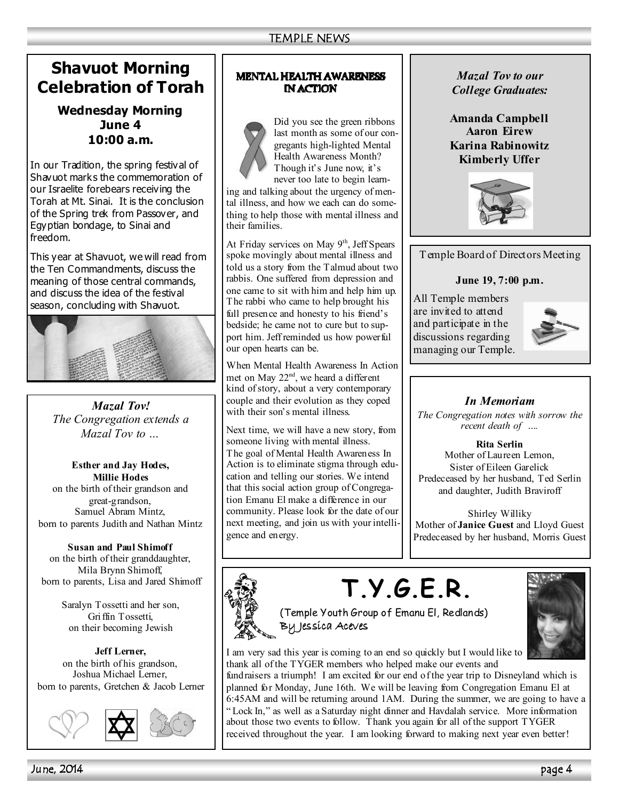# **Shavuot Morning Celebration of Torah**

## **Wednesday Morning June 4 10:00 a.m.**

In our Tradition, the spring festival of Shavuot marks the commemoration of our Israelite forebears receiving the Torah at Mt. Sinai. It is the conclusion of the Spring trek from Passover, and Egyptian bondage, to Sinai and freedom.

This year at Shavuot, we will read from the Ten Commandments, discuss the meaning of those central commands, and discuss the idea of the festival season, concluding with Shavuot.



*Mazal Tov! The Congregation extends a Mazal Tov to …* 

**Esther and Jay Hodes, Millie Hodes**  on the birth of their grandson and great-grandson, Samuel Abram Mintz, born to parents Judith and Nathan Mintz

**Susan and Paul Shimoff**  on the birth of their granddaughter, Mila Brynn Shimoff, born to parents, Lisa and Jared Shimoff

> Saralyn Tossetti and her son, Griffin Tossetti, on their becoming Jewish

**Jeff Lerner,**  on the birth of his grandson, Joshua Michael Lerner, born to parents, Gretchen & Jacob Lerner



## **MENTAL HEALTH AWARENESS IN ACTION**



Did you see the green ribbons last month as some of our congregants high-lighted Mental Health Awareness Month? Though it's June now, it's never too late to begin learn-

ing and talking about the urgency of mental illness, and how we each can do something to help those with mental illness and their families.

At Friday services on May 9<sup>th</sup>, Jeff Spears spoke movingly about mental illness and told us a story from the Talmud about two rabbis. One suffered from depression and one came to sit with him and help him up. The rabbi who came to help brought his full presence and honesty to his friend's bedside; he came not to cure but to support him. Jeff reminded us how powerful our open hearts can be.

When Mental Health Awareness In Action met on May 22<sup>nd</sup>, we heard a different kind of story, about a very contemporary couple and their evolution as they coped with their son's mental illness.

Next time, we will have a new story, from someone living with mental illness. The goal of Mental Health Awareness In Action is to eliminate stigma through education and telling our stories. We intend that this social action group of Congregation Emanu El make a difference in our community. Please look for the date of our next meeting, and join us with your intelligence and energy.

## *Mazal Tov to our College Graduates:*

**Amanda Campbell Aaron Eirew Karina Rabinowitz Kimberly Uffer** 



Temple Board of Directors Meeting

## **June 19, 7:00 p.m.**

All Temple members are invited to attend and participate in the discussions regarding managing our Temple.



## *In Memoriam*

*The Congregation notes with sorrow the recent death of ….* 

**Rita Serlin**  Mother of Laureen Lemon, Sister of Eileen Garelick Predeceased by her husband, Ted Serlin and daughter, Judith Braviroff

Shirley Williky Mother of **Janice Guest** and Lloyd Guest Predeceased by her husband, Morris Guest



# **T.Y.G.E.R.**

(Temple Youth Group of Emanu El, Redlands) By Jessica Aceves



I am very sad this year is coming to an end so quickly but I would like to thank all of the TYGER members who helped make our events and

fundraisers a triumph! I am excited for our end of the year trip to Disneyland which is planned for Monday, June 16th. We will be leaving from Congregation Emanu El at 6:45AM and will be returning around 1AM. During the summer, we are going to have a " Lock In," as well as a Saturday night dinner and Havdalah service. More information about those two events to follow. Thank you again for all of the support TYGER received throughout the year. I am looking forward to making next year even better!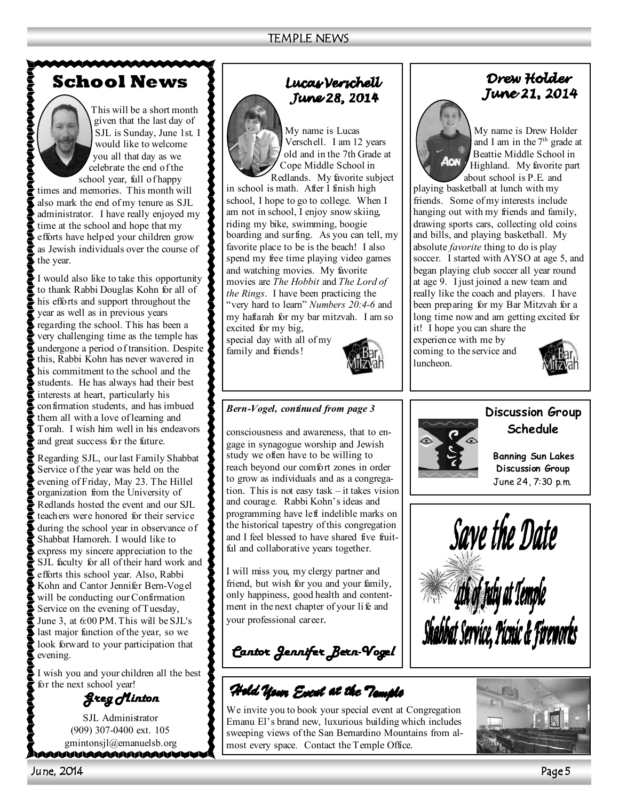# **School News**

**AAAAAAAAA** 



This will be a short month given that the last day of SJL is Sunday, June 1st. I would like to welcome you all that day as we celebrate the end of the

school year, full of happy times and memories. This month will also mark the end of my tenure as SJL administrator. I have really enjoyed my time at the school and hope that my efforts have helped your children grow as Jewish individuals over the course of the year.

I would also like to take this opportunity to thank Rabbi Douglas Kohn for all of his efforts and support throughout the year as well as in previous years regarding the school. This has been a very challenging time as the temple has undergone a period of transition. Despite this, Rabbi Kohn has never wavered in his commitment to the school and the students. He has always had their best interests at heart, particularly his confirmation students, and has imbued them all with a love of learning and Torah. I wish him well in his endeavors and great success for the future.

Regarding SJL, our last Family Shabbat Service of the year was held on the evening of Friday, May 23. The Hillel organization from the University of Redlands hosted the event and our SJL teachers were honored for their service during the school year in observance of Shabbat Hamoreh. I would like to express my sincere appreciation to the SJL faculty for all of their hard work and efforts this school year. Also, Rabbi Kohn and Cantor Jennifer Bern-Vogel will be conducting our Confirmation Service on the evening of Tuesday, June 3, at 6:00 PM. This will be SJL's last major function of the year, so we look forward to your participation that evening.

I wish you and your children all the best for the next school year!



SJL Administrator (909) 307-0400 ext. 105 gmintonsjl@emanuelsb.org **AAAAAAAAAAAAAAAV⊌** 

## Lucas Verschell Tune 28, 2014

My name is Lucas Verschell. I am 12 years old and in the 7th Grade at Cope Middle School in

Redlands. My favorite subject in school is math. After I finish high school, I hope to go to college. When I am not in school, I enjoy snow skiing, riding my bike, swimming, boogie boarding and surfing. As you can tell, my favorite place to be is the beach! I also spend my free time playing video games and watching movies. My favorite movies are *The Hobbit* and *The Lord of the Rings*. I have been practicing the "very hard to learn" *Numbers 20:4-6* and my haftarah for my bar mitzvah. I am so excited for my big,

special day with all of my family and friends!



## *Bern-Vogel, continued from page 3*

consciousness and awareness, that to engage in synagogue worship and Jewish study we often have to be willing to reach beyond our comfort zones in order to grow as individuals and as a congregation. This is not easy task – it takes vision and courage. Rabbi Kohn's ideas and programming have left indelible marks on the historical tapestry of this congregation and I feel blessed to have shared five fruitful and collaborative years together.

I will miss you, my clergy partner and friend, but wish for you and your family, only happiness, good health and contentment in the next chapter of your life and your professional career.

*Cantor Jennifer Bern- Cantor Jennifer Bern-Vogel*

Hold Your Event at the Templo

We invite you to book your special event at Congregation Emanu El's brand new, luxurious building which includes sweeping views of the San Bernardino Mountains from almost every space. Contact the Temple Office.

## Drew Holder June 21, 2014



My name is Drew Holder and I am in the  $7<sup>th</sup>$  grade at Beattie Middle School in Highland. My favorite part about school is P.E. and

playing basketball at lunch with my friends. Some of my interests include hanging out with my friends and family, drawing sports cars, collecting old coins and bills, and playing basketball. My absolute *favorite* thing to do is play soccer. I started with AYSO at age 5, and began playing club soccer all year round at age 9. I just joined a new team and really like the coach and players. I have been preparing for my Bar Mitzvah for a long time now and am getting excited for it! I hope you can share the

experience with me by coming to the service and luncheon.





## **Discussion Group Schedule**

**Banning Sun Lakes Discussion Group**  June 24, 7:30 p.m.



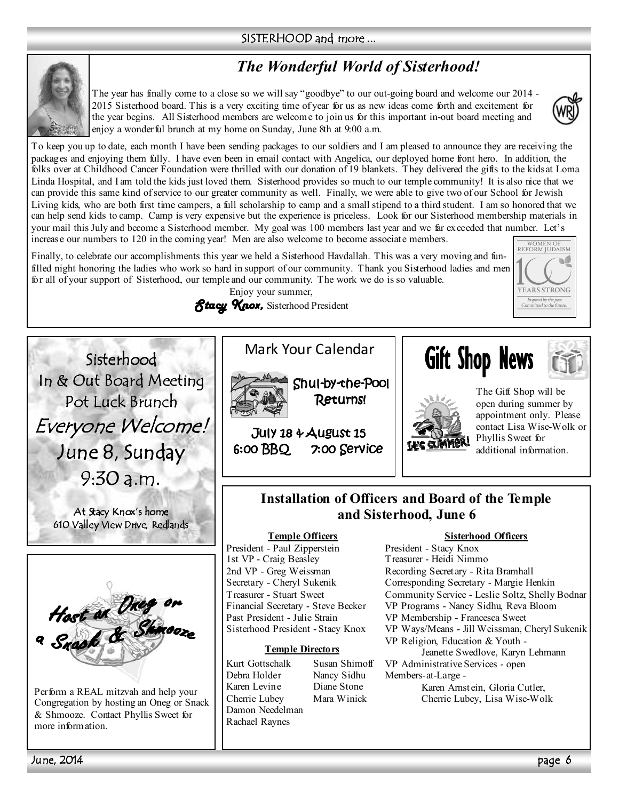## SISTERHOOD and more ...

# *The Wonderful World of Sisterhood!*



The year has finally come to a close so we will say "goodbye" to our out-going board and welcome our 2014 -2015 Sisterhood board. This is a very exciting time of year for us as new ideas come forth and excitement for the year begins. All Sisterhood members are welcome to join us for this important in-out board meeting and enjoy a wonderful brunch at my home on Sunday, June 8th at 9:00 a.m.



To keep you up to date, each month I have been sending packages to our soldiers and I am pleased to announce they are receiving the packages and enjoying them fully. I have even been in email contact with Angelica, our deployed home front hero. In addition, the folks over at Childhood Cancer Foundation were thrilled with our donation of 19 blankets. They delivered the gifts to the kids at Loma Linda Hospital, and I am told the kids just loved them. Sisterhood provides so much to our temple community! It is also nice that we can provide this same kind of service to our greater community as well. Finally, we were able to give two of our School for Jewish Living kids, who are both first time campers, a full scholarship to camp and a small stipend to a third student. I am so honored that we can help send kids to camp. Camp is very expensive but the experience is priceless. Look for our Sisterhood membership materials in your mail this July and become a Sisterhood member. My goal was 100 members last year and we far exceeded that number. Let's increase our numbers to 120 in the coming year! Men are also welcome to become associate members. WOMEN OF<br>REFORM JUDAISM

Finally, to celebrate our accomplishments this year we held a Sisterhood Havdallah. This was a very moving and funfilled night honoring the ladies who work so hard in support of our community. Thank you Sisterhood ladies and men for all of your support of Sisterhood, our temple and our community. The work we do is so valuable.

Enjoy your summer,





ľ

At Stacy Knox's home 610 Valley View Drive, Redlands



Perform a REAL mitzvah and help your Congregation by hosting an Oneg or Snack & Shmooze. Contact Phyllis Sweet for more information.



Shul-by-the-Pool Returns!

July 18 & August 15 6:00 BBQ 7:00 Service

Mark Your Calendar



The Gift Shop will be open during summer by appointment only. Please contact Lisa Wise-Wolk or Phyllis Sweet for additional information.

YEARS STRONG Inspired by the past.<br>Committed to the future

## **Installation of Officers and Board of the Temple and Sisterhood, June 6**

**Temple Officers**

President - Paul Zipperstein 1st VP - Craig Beasley 2nd VP - Greg Weissman Secretary - Cheryl Sukenik Treasurer - Stuart Sweet Financial Secretary - Steve Becker Past President - Julie Strain Sisterhood President - Stacy Knox

## **Temple Directors**

Kurt Gottschalk Debra Holder Karen Levine Cherrie Lubey Damon Needelman Rachael Raynes

Susan Shimoff Nancy Sidhu Diane Stone Mara Winick

#### **Sisterhood Officers**

**Gift Shop News** 

President - Stacy Knox Treasurer - Heidi Nimmo Recording Secretary - Rita Bramhall Corresponding Secretary - Margie Henkin Community Service - Leslie Soltz, Shelly Bodnar VP Programs - Nancy Sidhu, Reva Bloom VP Membership - Francesca Sweet VP Ways/Means - Jill Weissman, Cheryl Sukenik VP Religion, Education & Youth - Jeanette Swedlove, Karyn Lehmann VP Administrative Services - open

Members-at-Large -

 Karen Arnstein, Gloria Cutler, Cherrie Lubey, Lisa Wise-Wolk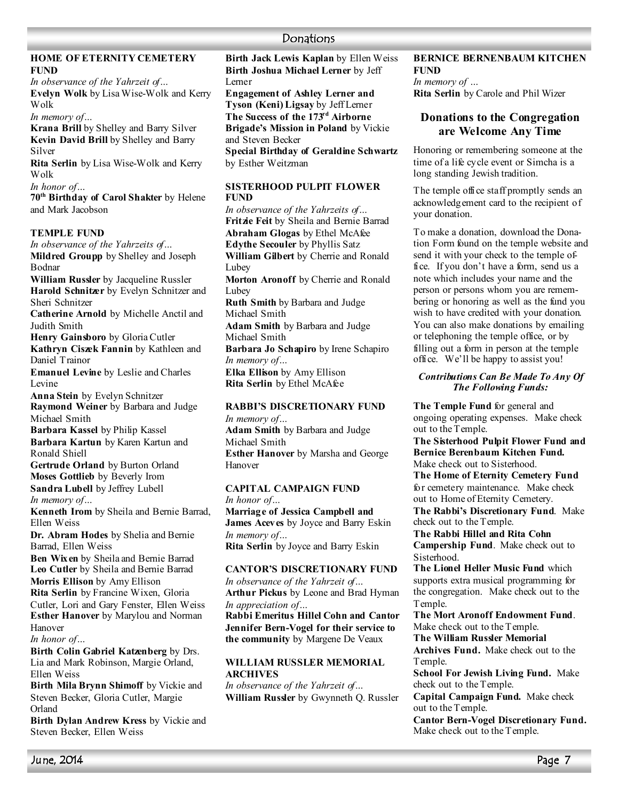## **HOME OF ETERNITY CEMETERY FUND**

*In observance of the Yahrzeit of…*  **Evelyn Wolk** by Lisa Wise-Wolk and Kerry Wolk

*In memory of…* 

**Krana Brill** by Shelley and Barry Silver **Kevin David Brill** by Shelley and Barry Silver

**Rita Serlin** by Lisa Wise-Wolk and Kerry Wolk

*In honor of…* 

**70th Birthday of Carol Shakter** by Helene and Mark Jacobson

## **TEMPLE FUND**

*In observance of the Yahrzeits of…*  **Mildred Groupp** by Shelley and Joseph Bodnar

**William Russler** by Jacqueline Russler **Harold Schnitzer** by Evelyn Schnitzer and Sheri Schnitzer

**Catherine Arnold** by Michelle Anctil and Judith Smith

**Henry Gainsboro** by Gloria Cutler **Kathryn Ciszek Fannin** by Kathleen and Daniel Trainor

**Emanuel Levine** by Leslie and Charles Levine

**Anna Stein** by Evelyn Schnitzer

**Raymond Weiner** by Barbara and Judge Michael Smith

**Barbara Kassel** by Philip Kassel **Barbara Kartun** by Karen Kartun and

Ronald Shiell

**Gertrude Orland** by Burton Orland **Moses Gottlieb** by Beverly Irom **Sandra Lubell** by Jeffrey Lubell

*In memory of…* 

**Kenneth Irom** by Sheila and Bernie Barrad, Ellen Weiss

**Dr. Abram Hodes** by Shelia and Bernie Barrad, Ellen Weiss

**Ben Wixen** by Sheila and Bernie Barrad **Leo Cutler** by Sheila and Bernie Barrad **Morris Ellison** by Amy Ellison

**Rita Serlin** by Francine Wixen, Gloria Cutler, Lori and Gary Fenster, Ellen Weiss **Esther Hanover** by Marylou and Norman Hanover

*In honor of…* 

**Birth Colin Gabriel Katzenberg** by Drs. Lia and Mark Robinson, Margie Orland, Ellen Weiss

**Birth Mila Brynn Shimoff** by Vickie and Steven Becker, Gloria Cutler, Margie Orland

**Birth Dylan Andrew Kress** by Vickie and Steven Becker, Ellen Weiss

**Birth Jack Lewis Kaplan** by Ellen Weiss **Birth Joshua Michael Lerner** by Jeff Lerner

**Engagement of Ashley Lerner and Tyson (Keni) Ligsay** by Jeff Lerner **The Success of the 173rd Airborne Brigade's Mission in Poland** by Vickie and Steven Becker

**Special Birthday of Geraldine Schwartz** by Esther Weitzman

## **SISTERHOOD PULPIT FLOWER FUND**

*In observance of the Yahrzeits of…* **Fritzie Feit** by Sheila and Bernie Barrad **Abraham Glogas** by Ethel McAfee **Edythe Secouler** by Phyllis Satz **William Gilbert** by Cherrie and Ronald Lubey **Morton Aronoff** by Cherrie and Ronald Lubey

**Ruth Smith** by Barbara and Judge Michael Smith

**Adam Smith** by Barbara and Judge Michael Smith

**Barbara Jo Schapiro** by Irene Schapiro *In memory of…* 

**Elka Ellison** by Amy Ellison **Rita Serlin** by Ethel McAfee

## **RABBI'S DISCRETIONARY FUND**

*In memory of…*  **Adam Smith** by Barbara and Judge Michael Smith **Esther Hanover** by Marsha and George

Hanover

#### **CAPITAL CAMPAIGN FUND** *In honor of…*

**Marriage of Jessica Campbell and James Aceves** by Joyce and Barry Eskin *In memory of…*  **Rita Serlin** by Joyce and Barry Eskin

## **CANTOR'S DISCRETIONARY FUND**

*In observance of the Yahrzeit of…*  **Arthur Pickus** by Leone and Brad Hyman *In appreciation of…* 

**Rabbi Emeritus Hillel Cohn and Cantor Jennifer Bern-Vogel for their service to the community** by Margene De Veaux

## **WILLIAM RUSSLER MEMORIAL ARCHIVES**

*In observance of the Yahrzeit of…*  **William Russler** by Gwynneth Q. Russler

#### **BERNICE BERNENBAUM KITCHEN FUND**

*In memory of …*  **Rita Serlin** by Carole and Phil Wizer

## **Donations to the Congregation are Welcome Any Time**

Honoring or remembering someone at the time of a life cycle event or Simcha is a long standing Jewish tradition.

The temple office staff promptly sends an acknowledgement card to the recipient of your donation.

To make a donation, download the Donation Form found on the temple website and send it with your check to the temple office. If you don't have a form, send us a note which includes your name and the person or persons whom you are remembering or honoring as well as the fund you wish to have credited with your donation. You can also make donations by emailing or telephoning the temple office, or by filling out a form in person at the temple office. We'll be happy to assist you!

## *Contributions Can Be Made To Any Of The Following Funds:*

**The Temple Fund** for general and ongoing operating expenses. Make check out to the Temple.

**The Sisterhood Pulpit Flower Fund and Bernice Berenbaum Kitchen Fund.**  Make check out to Sisterhood.

**The Home of Eternity Cemetery Fund**  for cemetery maintenance. Make check out to Home of Eternity Cemetery.

**The Rabbi's Discretionary Fund**. Make check out to the Temple.

**The Rabbi Hillel and Rita Cohn Campership Fund**. Make check out to Sisterhood.

**The Lionel Heller Music Fund** which supports extra musical programming for the congregation. Make check out to the Temple.

**The Mort Aronoff Endowment Fund**. Make check out to the Temple.

**The William Russler Memorial** 

**Archives Fund.** Make check out to the Temple.

**School For Jewish Living Fund.** Make check out to the Temple.

**Capital Campaign Fund.** Make check out to the Temple.

**Cantor Bern-Vogel Discretionary Fund.**  Make check out to the Temple.